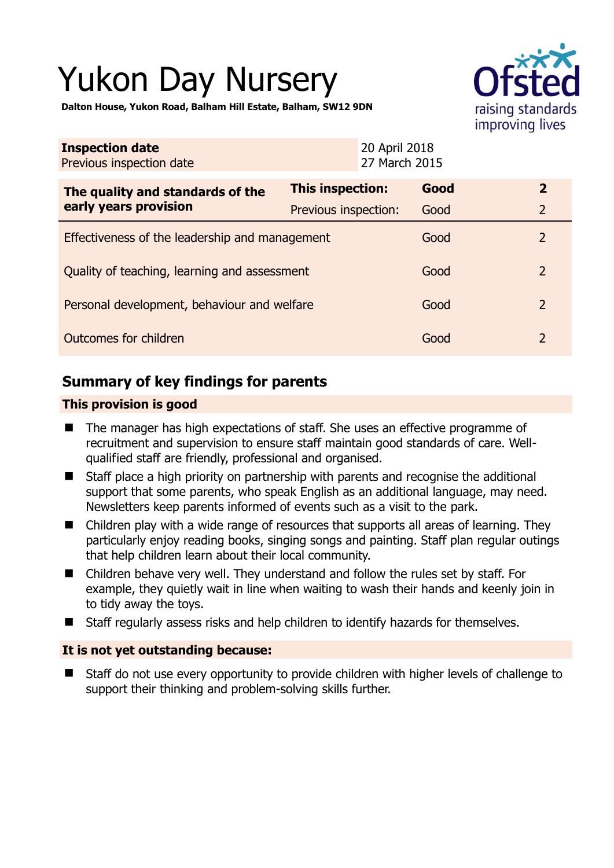# Yukon Day Nursery



**Dalton House, Yukon Road, Balham Hill Estate, Balham, SW12 9DN** 

| <b>Inspection date</b><br>Previous inspection date        | 20 April 2018<br>27 March 2015 |      |                |
|-----------------------------------------------------------|--------------------------------|------|----------------|
| The quality and standards of the<br>early years provision | <b>This inspection:</b>        | Good | $\overline{2}$ |
|                                                           | Previous inspection:           | Good | $\overline{2}$ |
| Effectiveness of the leadership and management            |                                | Good | $\mathcal{P}$  |
| Quality of teaching, learning and assessment              |                                | Good | $\overline{2}$ |
| Personal development, behaviour and welfare               |                                | Good | $\mathcal{P}$  |
| Outcomes for children                                     |                                | Good | $\overline{2}$ |

# **Summary of key findings for parents**

## **This provision is good**

- The manager has high expectations of staff. She uses an effective programme of recruitment and supervision to ensure staff maintain good standards of care. Wellqualified staff are friendly, professional and organised.
- Staff place a high priority on partnership with parents and recognise the additional support that some parents, who speak English as an additional language, may need. Newsletters keep parents informed of events such as a visit to the park.
- Children play with a wide range of resources that supports all areas of learning. They particularly enjoy reading books, singing songs and painting. Staff plan regular outings that help children learn about their local community.
- Children behave very well. They understand and follow the rules set by staff. For example, they quietly wait in line when waiting to wash their hands and keenly join in to tidy away the toys.
- Staff regularly assess risks and help children to identify hazards for themselves.

## **It is not yet outstanding because:**

 Staff do not use every opportunity to provide children with higher levels of challenge to support their thinking and problem-solving skills further.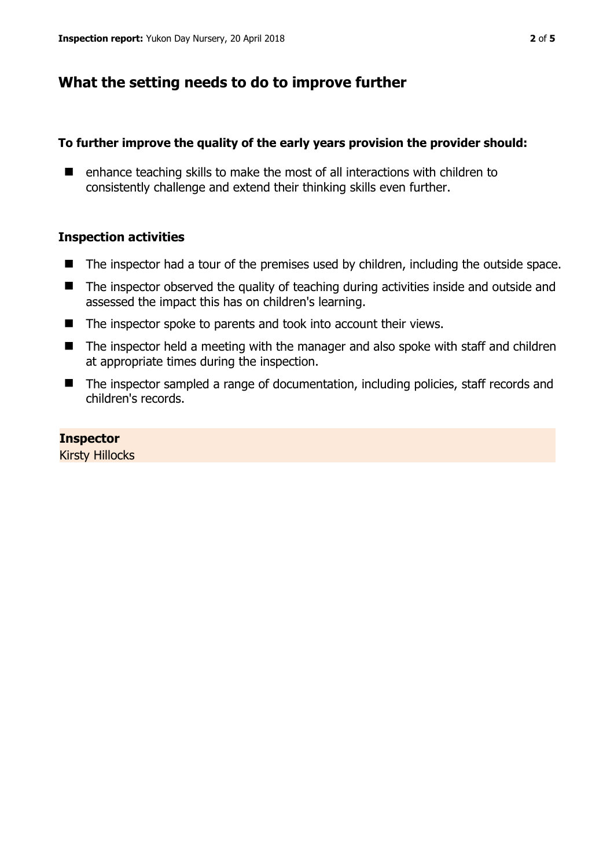# **What the setting needs to do to improve further**

## **To further improve the quality of the early years provision the provider should:**

■ enhance teaching skills to make the most of all interactions with children to consistently challenge and extend their thinking skills even further.

## **Inspection activities**

- The inspector had a tour of the premises used by children, including the outside space.
- The inspector observed the quality of teaching during activities inside and outside and assessed the impact this has on children's learning.
- The inspector spoke to parents and took into account their views.
- The inspector held a meeting with the manager and also spoke with staff and children at appropriate times during the inspection.
- The inspector sampled a range of documentation, including policies, staff records and children's records.

## **Inspector**

Kirsty Hillocks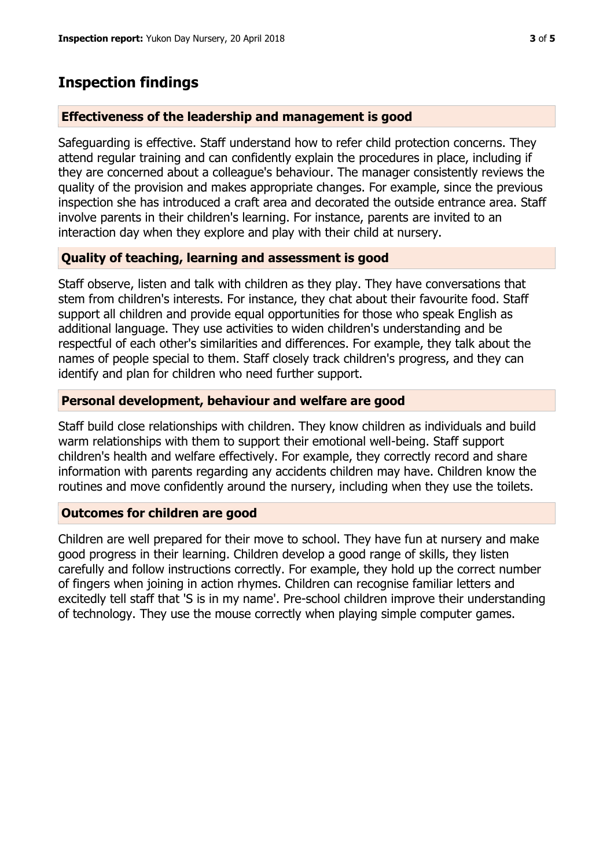# **Inspection findings**

## **Effectiveness of the leadership and management is good**

Safeguarding is effective. Staff understand how to refer child protection concerns. They attend regular training and can confidently explain the procedures in place, including if they are concerned about a colleague's behaviour. The manager consistently reviews the quality of the provision and makes appropriate changes. For example, since the previous inspection she has introduced a craft area and decorated the outside entrance area. Staff involve parents in their children's learning. For instance, parents are invited to an interaction day when they explore and play with their child at nursery.

## **Quality of teaching, learning and assessment is good**

Staff observe, listen and talk with children as they play. They have conversations that stem from children's interests. For instance, they chat about their favourite food. Staff support all children and provide equal opportunities for those who speak English as additional language. They use activities to widen children's understanding and be respectful of each other's similarities and differences. For example, they talk about the names of people special to them. Staff closely track children's progress, and they can identify and plan for children who need further support.

## **Personal development, behaviour and welfare are good**

Staff build close relationships with children. They know children as individuals and build warm relationships with them to support their emotional well-being. Staff support children's health and welfare effectively. For example, they correctly record and share information with parents regarding any accidents children may have. Children know the routines and move confidently around the nursery, including when they use the toilets.

#### **Outcomes for children are good**

Children are well prepared for their move to school. They have fun at nursery and make good progress in their learning. Children develop a good range of skills, they listen carefully and follow instructions correctly. For example, they hold up the correct number of fingers when joining in action rhymes. Children can recognise familiar letters and excitedly tell staff that 'S is in my name'. Pre-school children improve their understanding of technology. They use the mouse correctly when playing simple computer games.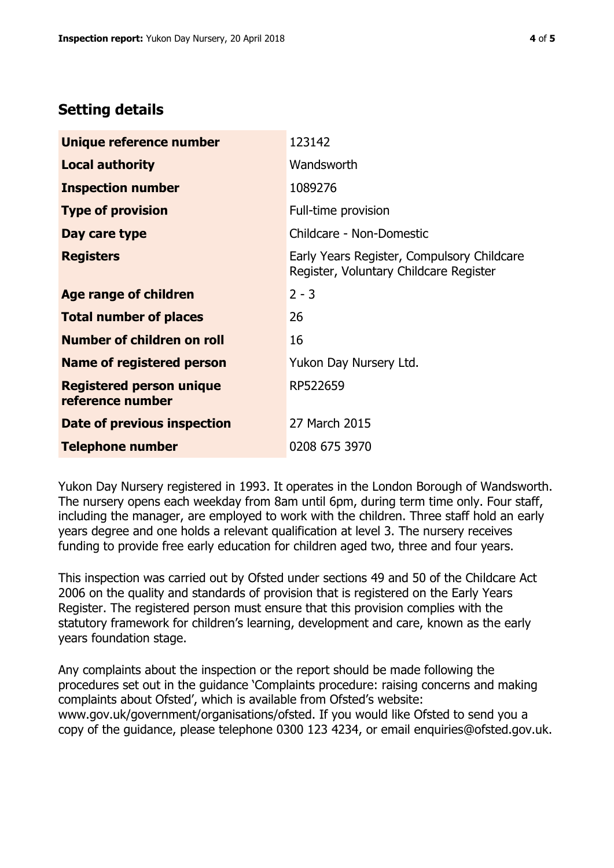## **Setting details**

| Unique reference number                             | 123142                                                                               |  |
|-----------------------------------------------------|--------------------------------------------------------------------------------------|--|
| <b>Local authority</b>                              | Wandsworth                                                                           |  |
| <b>Inspection number</b>                            | 1089276                                                                              |  |
| <b>Type of provision</b>                            | Full-time provision                                                                  |  |
| Day care type                                       | Childcare - Non-Domestic                                                             |  |
| <b>Registers</b>                                    | Early Years Register, Compulsory Childcare<br>Register, Voluntary Childcare Register |  |
| Age range of children                               | $2 - 3$                                                                              |  |
| <b>Total number of places</b>                       | 26                                                                                   |  |
| Number of children on roll                          | 16                                                                                   |  |
| Name of registered person                           | Yukon Day Nursery Ltd.                                                               |  |
| <b>Registered person unique</b><br>reference number | RP522659                                                                             |  |
| <b>Date of previous inspection</b>                  | 27 March 2015                                                                        |  |
| <b>Telephone number</b>                             | 0208 675 3970                                                                        |  |

Yukon Day Nursery registered in 1993. It operates in the London Borough of Wandsworth. The nursery opens each weekday from 8am until 6pm, during term time only. Four staff, including the manager, are employed to work with the children. Three staff hold an early years degree and one holds a relevant qualification at level 3. The nursery receives funding to provide free early education for children aged two, three and four years.

This inspection was carried out by Ofsted under sections 49 and 50 of the Childcare Act 2006 on the quality and standards of provision that is registered on the Early Years Register. The registered person must ensure that this provision complies with the statutory framework for children's learning, development and care, known as the early years foundation stage.

Any complaints about the inspection or the report should be made following the procedures set out in the guidance 'Complaints procedure: raising concerns and making complaints about Ofsted', which is available from Ofsted's website: www.gov.uk/government/organisations/ofsted. If you would like Ofsted to send you a copy of the guidance, please telephone 0300 123 4234, or email enquiries@ofsted.gov.uk.